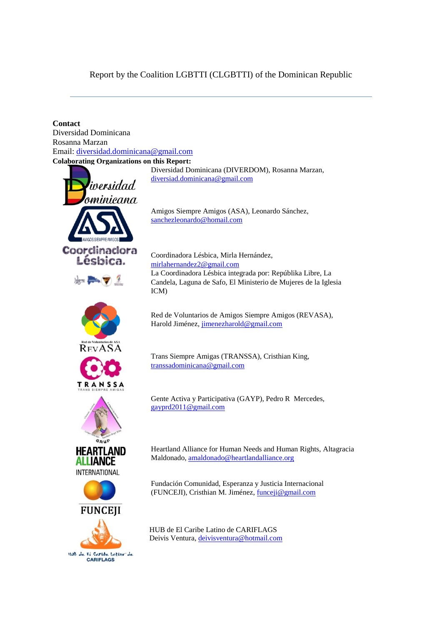## Report by the Coalition LGBTTI (CLGBTTI) of the Dominican Republic

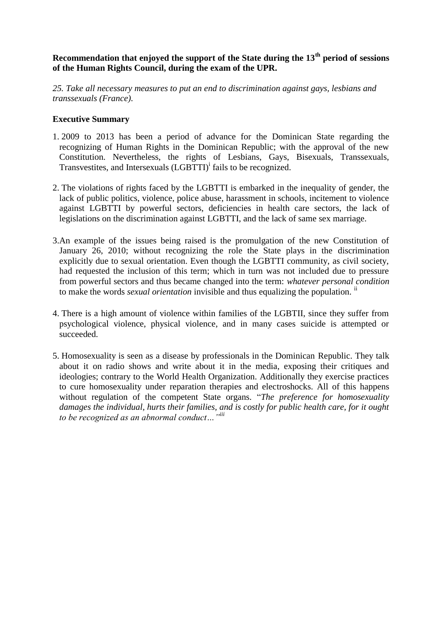# **Recommendation that enjoyed the support of the State during the 13th period of sessions of the Human Rights Council, during the exam of the UPR.**

*25. Take all necessary measures to put an end to discrimination against gays, lesbians and transsexuals (France).*

## **Executive Summary**

- 1. 2009 to 2013 has been a period of advance for the Dominican State regarding the recognizing of Human Rights in the Dominican Republic; with the approval of the new Constitution. Nevertheless, the rights of Lesbians, Gays, Bisexuals, Transsexuals, Transvestites, and Intersexuals (LGBTTI)<sup>i</sup> fails to be recognized.
- 2. The violations of rights faced by the LGBTTI is embarked in the inequality of gender, the lack of public politics, violence, police abuse, harassment in schools, incitement to violence against LGBTTI by powerful sectors, deficiencies in health care sectors, the lack of legislations on the discrimination against LGBTTI, and the lack of same sex marriage.
- 3.An example of the issues being raised is the promulgation of the new Constitution of January 26, 2010; without recognizing the role the State plays in the discrimination explicitly due to sexual orientation. Even though the LGBTTI community, as civil society, had requested the inclusion of this term; which in turn was not included due to pressure from powerful sectors and thus became changed into the term: *whatever personal condition* to make the words *sexual orientation* invisible and thus equalizing the population. ii
- 4. There is a high amount of violence within families of the LGBTII, since they suffer from psychological violence, physical violence, and in many cases suicide is attempted or succeeded.
- 5. Homosexuality is seen as a disease by professionals in the Dominican Republic. They talk about it on radio shows and write about it in the media, exposing their critiques and ideologies; contrary to the World Health Organization. Additionally they exercise practices to cure homosexuality under reparation therapies and electroshocks. All of this happens without regulation of the competent State organs. "*The preference for homosexuality damages the individual, hurts their families, and is costly for public health care, for it ought to be recognized as an abnormal conduct…" iii*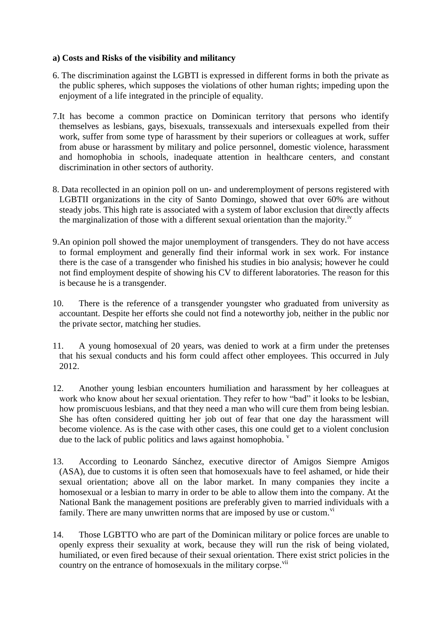## **a) Costs and Risks of the visibility and militancy**

- 6. The discrimination against the LGBTI is expressed in different forms in both the private as the public spheres, which supposes the violations of other human rights; impeding upon the enjoyment of a life integrated in the principle of equality.
- 7.It has become a common practice on Dominican territory that persons who identify themselves as lesbians, gays, bisexuals, transsexuals and intersexuals expelled from their work, suffer from some type of harassment by their superiors or colleagues at work, suffer from abuse or harassment by military and police personnel, domestic violence, harassment and homophobia in schools, inadequate attention in healthcare centers, and constant discrimination in other sectors of authority.
- 8. Data recollected in an opinion poll on un- and underemployment of persons registered with LGBTII organizations in the city of Santo Domingo, showed that over 60% are without steady jobs. This high rate is associated with a system of labor exclusion that directly affects the marginalization of those with a different sexual orientation than the majority.<sup>iv</sup>
- 9.An opinion poll showed the major unemployment of transgenders. They do not have access to formal employment and generally find their informal work in sex work. For instance there is the case of a transgender who finished his studies in bio analysis; however he could not find employment despite of showing his CV to different laboratories. The reason for this is because he is a transgender.
- 10. There is the reference of a transgender youngster who graduated from university as accountant. Despite her efforts she could not find a noteworthy job, neither in the public nor the private sector, matching her studies.
- 11. A young homosexual of 20 years, was denied to work at a firm under the pretenses that his sexual conducts and his form could affect other employees. This occurred in July 2012.
- 12. Another young lesbian encounters humiliation and harassment by her colleagues at work who know about her sexual orientation. They refer to how "bad" it looks to be lesbian, how promiscuous lesbians, and that they need a man who will cure them from being lesbian. She has often considered quitting her job out of fear that one day the harassment will become violence. As is the case with other cases, this one could get to a violent conclusion due to the lack of public politics and laws against homophobia. <sup>v</sup>
- 13. According to Leonardo Sánchez, executive director of Amigos Siempre Amigos (ASA), due to customs it is often seen that homosexuals have to feel ashamed, or hide their sexual orientation; above all on the labor market. In many companies they incite a homosexual or a lesbian to marry in order to be able to allow them into the company. At the National Bank the management positions are preferably given to married individuals with a family. There are many unwritten norms that are imposed by use or custom.<sup>vi</sup>
- 14. Those LGBTTO who are part of the Dominican military or police forces are unable to openly express their sexuality at work, because they will run the risk of being violated, humiliated, or even fired because of their sexual orientation. There exist strict policies in the country on the entrance of homosexuals in the military corpse.<sup>vii</sup>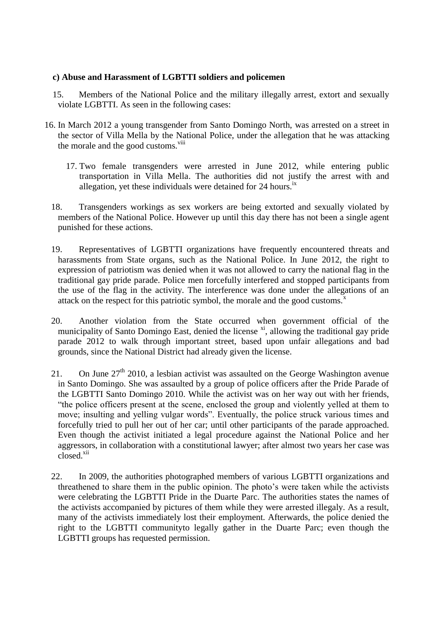#### **c) Abuse and Harassment of LGBTTI soldiers and policemen**

- 15. Members of the National Police and the military illegally arrest, extort and sexually violate LGBTTI. As seen in the following cases:
- 16. In March 2012 a young transgender from Santo Domingo North, was arrested on a street in the sector of Villa Mella by the National Police, under the allegation that he was attacking the morale and the good customs.<sup>viii</sup>
	- 17. Two female transgenders were arrested in June 2012, while entering public transportation in Villa Mella. The authorities did not justify the arrest with and allegation, yet these individuals were detained for  $24$  hours.<sup>ix</sup>
	- 18. Transgenders workings as sex workers are being extorted and sexually violated by members of the National Police. However up until this day there has not been a single agent punished for these actions.
	- 19. Representatives of LGBTTI organizations have frequently encountered threats and harassments from State organs, such as the National Police. In June 2012, the right to expression of patriotism was denied when it was not allowed to carry the national flag in the traditional gay pride parade. Police men forcefully interfered and stopped participants from the use of the flag in the activity. The interference was done under the allegations of an attack on the respect for this patriotic symbol, the morale and the good customs. $^x$
	- 20. Another violation from the State occurred when government official of the municipality of Santo Domingo East, denied the license x<sup>i</sup>, allowing the traditional gay pride parade 2012 to walk through important street, based upon unfair allegations and bad grounds, since the National District had already given the license.
	- 21. On June  $27<sup>th</sup>$  2010, a lesbian activist was assaulted on the George Washington avenue in Santo Domingo. She was assaulted by a group of police officers after the Pride Parade of the LGBTTI Santo Domingo 2010. While the activist was on her way out with her friends, "the police officers present at the scene, enclosed the group and violently yelled at them to move; insulting and yelling vulgar words". Eventually, the police struck various times and forcefully tried to pull her out of her car; until other participants of the parade approached. Even though the activist initiated a legal procedure against the National Police and her aggressors, in collaboration with a constitutional lawyer; after almost two years her case was closed.<sup>xii</sup>
	- 22. In 2009, the authorities photographed members of various LGBTTI organizations and threathened to share them in the public opinion. The photo's were taken while the activists were celebrating the LGBTTI Pride in the Duarte Parc. The authorities states the names of the activists accompanied by pictures of them while they were arrested illegaly. As a result, many of the activists immediately lost their employment. Afterwards, the police denied the right to the LGBTTI communityto legally gather in the Duarte Parc; even though the LGBTTI groups has requested permission.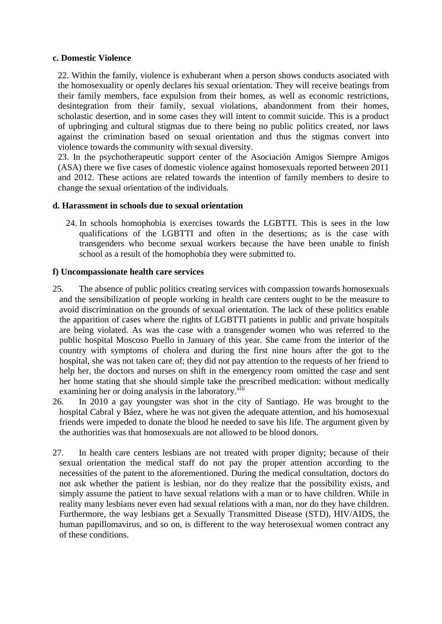#### **c. Domestic Violence**

22. Within the family, violence is exhuberant when a person shows conducts asociated with the homosexuality or openly declares his sexual orientation. They will receive beatings from their family members, face expulsion from their homes, as well as economic restrictions, desintegration from their family, sexual violations, abandonment from their homes, scholastic desertion, and in some cases they will intent to commit suicide. This is a product of upbringing and cultural stigmas due to there being no public politics created, nor laws against the crimination based on sexual orientation and thus the stigmas convert into violence towards the community with sexual diversity.

23. In the psychotherapeutic support center of the Asociación Amigos Siempre Amigos (ASA) there we five cases of domestic violence against homosexuals reported between 2011 and 2012. These actions are related towards the intention of family members to desire to change the sexual orientation of the individuals.

#### **d. Harassment in schools due to sexual orientation**

24. In schools homophobia is exercises towards the LGBTTI. This is sees in the low qualifications of the LGBTTI and often in the desertions; as is the case with transgenders who become sexual workers because the have been unable to finish school as a result of the homophobia they were submitted to.

#### **f) Uncompassionate health care services**

- 25. The absence of public politics creating services with compassion towards homosexuals and the sensibilization of people working in health care centers ought to be the measure to avoid discrimination on the grounds of sexual orientation. The lack of these politics enable the apparition of cases where the rights of LGBTTI patients in public and private hospitals are being violated. As was the case with a transgender women who was referred to the public hospital Moscoso Puello in January of this year. She came from the interior of the country with symptoms of cholera and during the first nine hours after the got to the hospital, she was not taken care of; they did not pay attention to the requests of her friend to help her, the doctors and nurses on shift in the emergency room omitted the case and sent her home stating that she should simple take the prescribed medication: without medically examining her or doing analysis in the laboratory.<sup>xiii</sup>
- 26. In 2010 a gay youngster was shot in the city of Santiago. He was brought to the hospital Cabral y Báez, where he was not given the adequate attention, and his homosexual friends were impeded to donate the blood he needed to save his life. The argument given by the authorities was that homosexuals are not allowed to be blood donors.
- 27. In health care centers lesbians are not treated with proper dignity; because of their sexual orientation the medical staff do not pay the proper attention according to the necessities of the patent to the aforementioned. During the medical consultation, doctors do not ask whether the patient is lesbian, nor do they realize that the possibility exists, and simply assume the patient to have sexual relations with a man or to have children. While in reality many lesbians never even had sexual relations with a man, nor do they have children. Furthermore, the way lesbians get a Sexually Transmitted Disease (STD), HIV/AIDS, the human papillomavirus, and so on, is different to the way heterosexual women contract any of these conditions.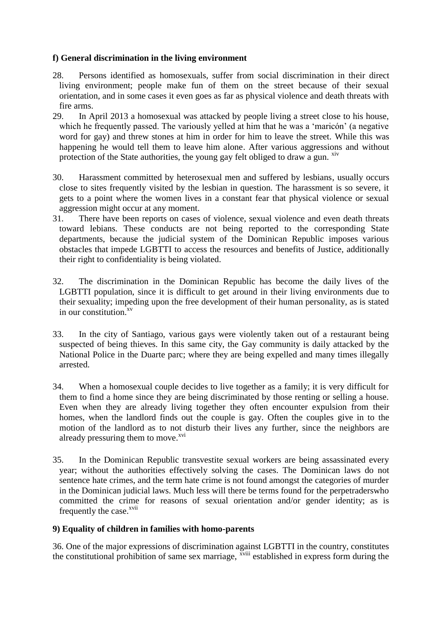## **f) General discrimination in the living environment**

- 28. Persons identified as homosexuals, suffer from social discrimination in their direct living environment; people make fun of them on the street because of their sexual orientation, and in some cases it even goes as far as physical violence and death threats with fire arms.
- 29. In April 2013 a homosexual was attacked by people living a street close to his house, which he frequently passed. The variously yelled at him that he was a 'maricón' (a negative word for gay) and threw stones at him in order for him to leave the street. While this was happening he would tell them to leave him alone. After various aggressions and without protection of the State authorities, the young gay felt obliged to draw a gun.  $X^{IV}$
- 30. Harassment committed by heterosexual men and suffered by lesbians, usually occurs close to sites frequently visited by the lesbian in question. The harassment is so severe, it gets to a point where the women lives in a constant fear that physical violence or sexual aggression might occur at any moment.
- 31. There have been reports on cases of violence, sexual violence and even death threats toward lebians. These conducts are not being reported to the corresponding State departments, because the judicial system of the Dominican Republic imposes various obstacles that impede LGBTTI to access the resources and benefits of Justice, additionally their right to confidentiality is being violated.
- 32. The discrimination in the Dominican Republic has become the daily lives of the LGBTTI population, since it is difficult to get around in their living environments due to their sexuality; impeding upon the free development of their human personality, as is stated in our constitution. $x^v$
- 33. In the city of Santiago, various gays were violently taken out of a restaurant being suspected of being thieves. In this same city, the Gay community is daily attacked by the National Police in the Duarte parc; where they are being expelled and many times illegally arrested.
- 34. When a homosexual couple decides to live together as a family; it is very difficult for them to find a home since they are being discriminated by those renting or selling a house. Even when they are already living together they often encounter expulsion from their homes, when the landlord finds out the couple is gay. Often the couples give in to the motion of the landlord as to not disturb their lives any further, since the neighbors are already pressuring them to move. $^{xvi}$
- 35. In the Dominican Republic transvestite sexual workers are being assassinated every year; without the authorities effectively solving the cases. The Dominican laws do not sentence hate crimes, and the term hate crime is not found amongst the categories of murder in the Dominican judicial laws. Much less will there be terms found for the perpetraderswho committed the crime for reasons of sexual orientation and/or gender identity; as is frequently the case.<sup>xvii</sup>

#### **9) Equality of children in families with homo-parents**

36. One of the major expressions of discrimination against LGBTTI in the country, constitutes the constitutional prohibition of same sex marriage, <sup>xviii</sup> established in express form during the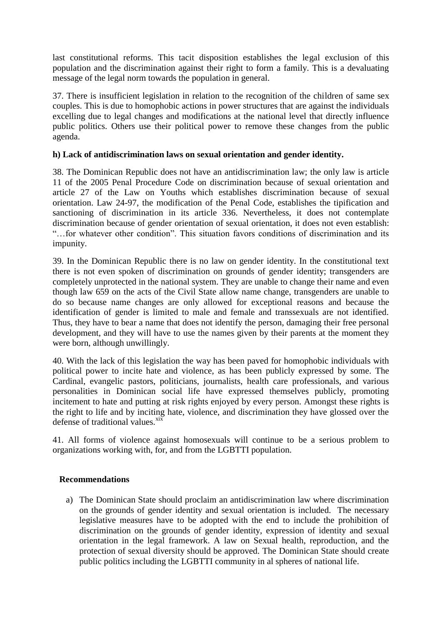last constitutional reforms. This tacit disposition establishes the legal exclusion of this population and the discrimination against their right to form a family. This is a devaluating message of the legal norm towards the population in general.

37. There is insufficient legislation in relation to the recognition of the children of same sex couples. This is due to homophobic actions in power structures that are against the individuals excelling due to legal changes and modifications at the national level that directly influence public politics. Others use their political power to remove these changes from the public agenda.

### **h) Lack of antidiscrimination laws on sexual orientation and gender identity.**

38. The Dominican Republic does not have an antidiscrimination law; the only law is article 11 of the 2005 Penal Procedure Code on discrimination because of sexual orientation and article 27 of the Law on Youths which establishes discrimination because of sexual orientation. Law 24-97, the modification of the Penal Code, establishes the tipification and sanctioning of discrimination in its article 336. Nevertheless, it does not contemplate discrimination because of gender orientation of sexual orientation, it does not even establish: "…for whatever other condition". This situation favors conditions of discrimination and its impunity.

39. In the Dominican Republic there is no law on gender identity. In the constitutional text there is not even spoken of discrimination on grounds of gender identity; transgenders are completely unprotected in the national system. They are unable to change their name and even though law 659 on the acts of the Civil State allow name change, transgenders are unable to do so because name changes are only allowed for exceptional reasons and because the identification of gender is limited to male and female and transsexuals are not identified. Thus, they have to bear a name that does not identify the person, damaging their free personal development, and they will have to use the names given by their parents at the moment they were born, although unwillingly.

40. With the lack of this legislation the way has been paved for homophobic individuals with political power to incite hate and violence, as has been publicly expressed by some. The Cardinal, evangelic pastors, politicians, journalists, health care professionals, and various personalities in Dominican social life have expressed themselves publicly, promoting incitement to hate and putting at risk rights enjoyed by every person. Amongst these rights is the right to life and by inciting hate, violence, and discrimination they have glossed over the defense of traditional values. $x$ <sup>ix</sup>

41. All forms of violence against homosexuals will continue to be a serious problem to organizations working with, for, and from the LGBTTI population.

#### **Recommendations**

a) The Dominican State should proclaim an antidiscrimination law where discrimination on the grounds of gender identity and sexual orientation is included. The necessary legislative measures have to be adopted with the end to include the prohibition of discrimination on the grounds of gender identity, expression of identity and sexual orientation in the legal framework. A law on Sexual health, reproduction, and the protection of sexual diversity should be approved. The Dominican State should create public politics including the LGBTTI community in al spheres of national life.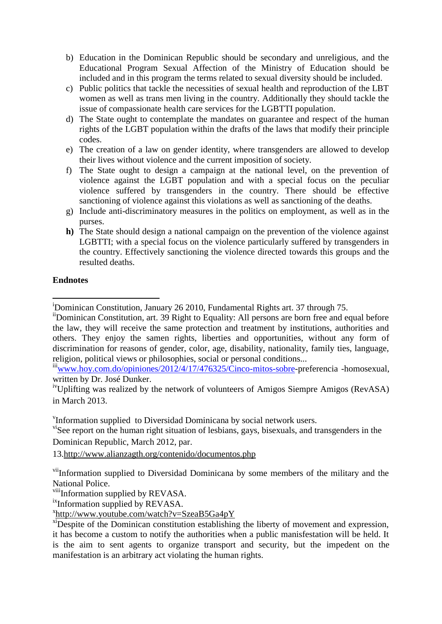- b) Education in the Dominican Republic should be secondary and unreligious, and the Educational Program Sexual Affection of the Ministry of Education should be included and in this program the terms related to sexual diversity should be included.
- c) Public politics that tackle the necessities of sexual health and reproduction of the LBT women as well as trans men living in the country. Additionally they should tackle the issue of compassionate health care services for the LGBTTI population.
- d) The State ought to contemplate the mandates on guarantee and respect of the human rights of the LGBT population within the drafts of the laws that modify their principle codes.
- e) The creation of a law on gender identity, where transgenders are allowed to develop their lives without violence and the current imposition of society.
- f) The State ought to design a campaign at the national level, on the prevention of violence against the LGBT population and with a special focus on the peculiar violence suffered by transgenders in the country. There should be effective sanctioning of violence against this violations as well as sanctioning of the deaths.
- g) Include anti-discriminatory measures in the politics on employment, as well as in the purses.
- **h)** The State should design a national campaign on the prevention of the violence against LGBTTI; with a special focus on the violence particularly suffered by transgenders in the country. Effectively sanctioning the violence directed towards this groups and the resulted deaths.

## **Endnotes**

<sup>iii</sup>[www.hoy.com.do/opiniones/2012/4/17/476325/Cinco-mitos-sobre-](http://www.hoy.com.do/opiniones/2012/4/17/476325/Cinco-mitos-sobre)preferencia -homosexual, written by Dr. José Dunker.

v Information supplied to Diversidad Dominicana by social network users.

<sup>vi</sup>See report on the human right situation of lesbians, gays, bisexuals, and transgenders in the Dominican Republic, March 2012, par.

13[.http://www.alianzagth.org/contenido/documentos.php](http://www.alianzagth.org/contenido/documentos.php)

viiInformation supplied to Diversidad Dominicana by some members of the military and the National Police.

viiiInformation supplied by REVASA.

<sup>ix</sup>Information supplied by REVASA.

x <http://www.youtube.com/watch?v=SzeaB5Ga4pY>

 $x_i$  Despite of the Dominican constitution establishing the liberty of movement and expression, it has become a custom to notify the authorities when a public manisfestation will be held. It is the aim to sent agents to organize transport and security, but the impedent on the manifestation is an arbitrary act violating the human rights.

<sup>1</sup> <sup>i</sup>Dominican Constitution, January 26 2010, Fundamental Rights art. 37 through 75.

iiDominican Constitution, art. 39 Right to Equality: All persons are born free and equal before the law, they will receive the same protection and treatment by institutions, authorities and others. They enjoy the samen rights, liberties and opportunities, without any form of discrimination for reasons of gender, color, age, disability, nationality, family ties, language, religion, political views or philosophies, social or personal conditions...

ivUplifting was realized by the network of volunteers of Amigos Siempre Amigos (RevASA) in March 2013.